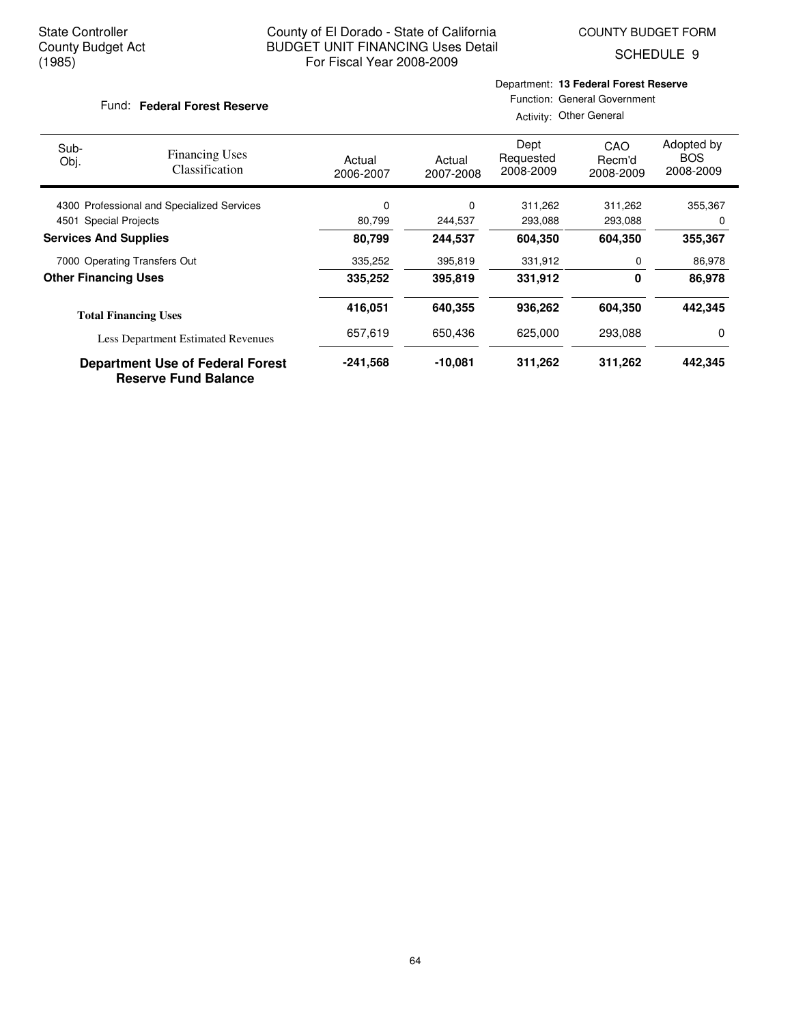SCHEDULE 9

#### Fund: Federal Forest Reserve

## Department: **13 Federal Forest Reserve** Function: General Government

| Sub-<br>Obj.                               | <b>Financing Uses</b><br>Classification                                | Actual<br>2006-2007 | Actual<br>2007-2008 | Dept<br>Requested<br>2008-2009 | CAO<br>Recm'd<br>2008-2009 | Adopted by<br><b>BOS</b><br>2008-2009 |
|--------------------------------------------|------------------------------------------------------------------------|---------------------|---------------------|--------------------------------|----------------------------|---------------------------------------|
| 4300 Professional and Specialized Services |                                                                        | 0                   | 0                   | 311,262                        | 311,262                    | 355,367                               |
| 4501 Special Projects                      |                                                                        | 80,799              | 244,537             | 293,088                        | 293,088                    | 0                                     |
| <b>Services And Supplies</b>               |                                                                        | 80,799              | 244.537             | 604,350                        | 604,350                    | 355,367                               |
|                                            | 7000 Operating Transfers Out                                           | 335,252             | 395,819             | 331,912                        | 0                          | 86,978                                |
| <b>Other Financing Uses</b>                |                                                                        | 335,252             | 395,819             | 331,912                        | 0                          | 86,978                                |
|                                            | <b>Total Financing Uses</b>                                            | 416,051             | 640.355             | 936,262                        | 604,350                    | 442,345                               |
|                                            | <b>Less Department Estimated Revenues</b>                              | 657,619             | 650.436             | 625,000                        | 293.088                    | 0                                     |
|                                            | <b>Department Use of Federal Forest</b><br><b>Reserve Fund Balance</b> | $-241,568$          | $-10,081$           | 311,262                        | 311,262                    | 442,345                               |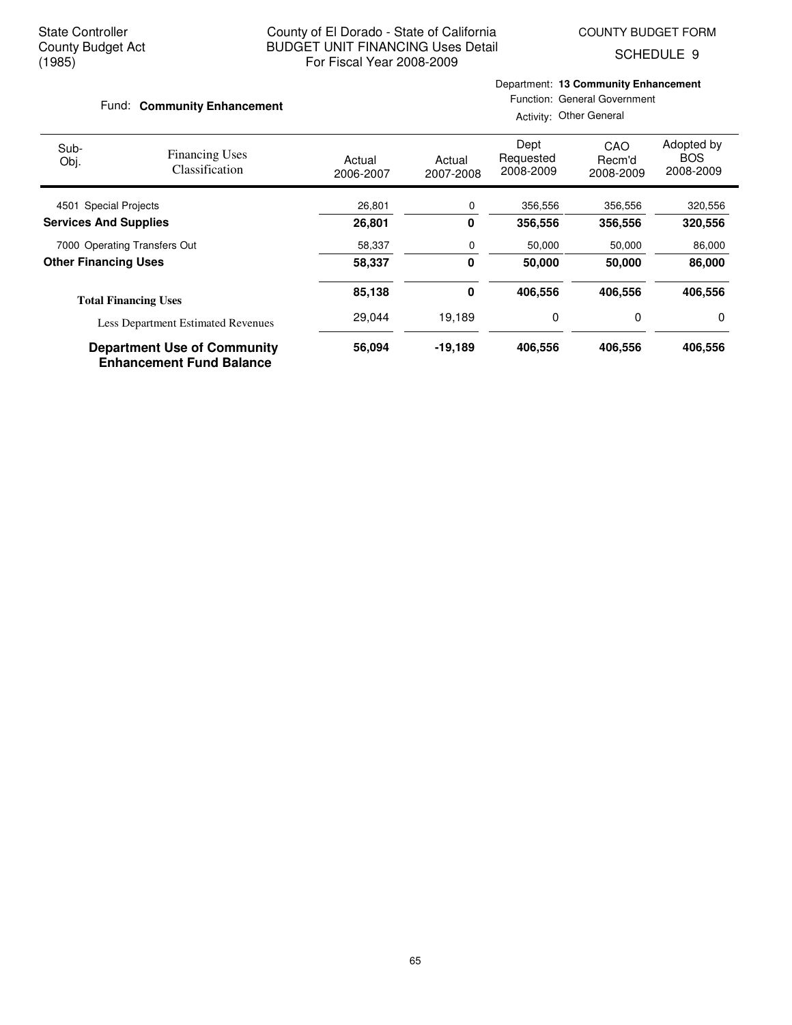SCHEDULE 9

## Fund: **Community Enhancement**

Department: **13 Community Enhancement** Function: General Government

| Sub-<br>Obj.                 | <b>Financing Uses</b><br><b>Classification</b>                        | Actual<br>2006-2007 | Actual<br>2007-2008 | Dept<br>Requested<br>2008-2009 | CAO<br>Recm'd<br>2008-2009 | Adopted by<br><b>BOS</b><br>2008-2009 |
|------------------------------|-----------------------------------------------------------------------|---------------------|---------------------|--------------------------------|----------------------------|---------------------------------------|
| 4501 Special Projects        |                                                                       | 26,801              | 0                   | 356,556                        | 356,556                    | 320,556                               |
| <b>Services And Supplies</b> |                                                                       | 26,801              | 0                   | 356,556                        | 356,556                    | 320,556                               |
| 7000 Operating Transfers Out |                                                                       | 58,337              | 0                   | 50,000                         | 50,000                     | 86,000                                |
| <b>Other Financing Uses</b>  |                                                                       | 58,337              | $\bf{0}$            | 50,000<br>50,000               |                            | 86,000                                |
|                              | <b>Total Financing Uses</b>                                           | 85,138              | 0                   | 406.556                        | 406,556                    | 406,556                               |
|                              | <b>Less Department Estimated Revenues</b>                             | 29,044              | 19,189              | 0                              | 0                          | 0                                     |
|                              | <b>Department Use of Community</b><br><b>Enhancement Fund Balance</b> | 56,094              | $-19,189$           | 406.556                        | 406,556                    | 406,556                               |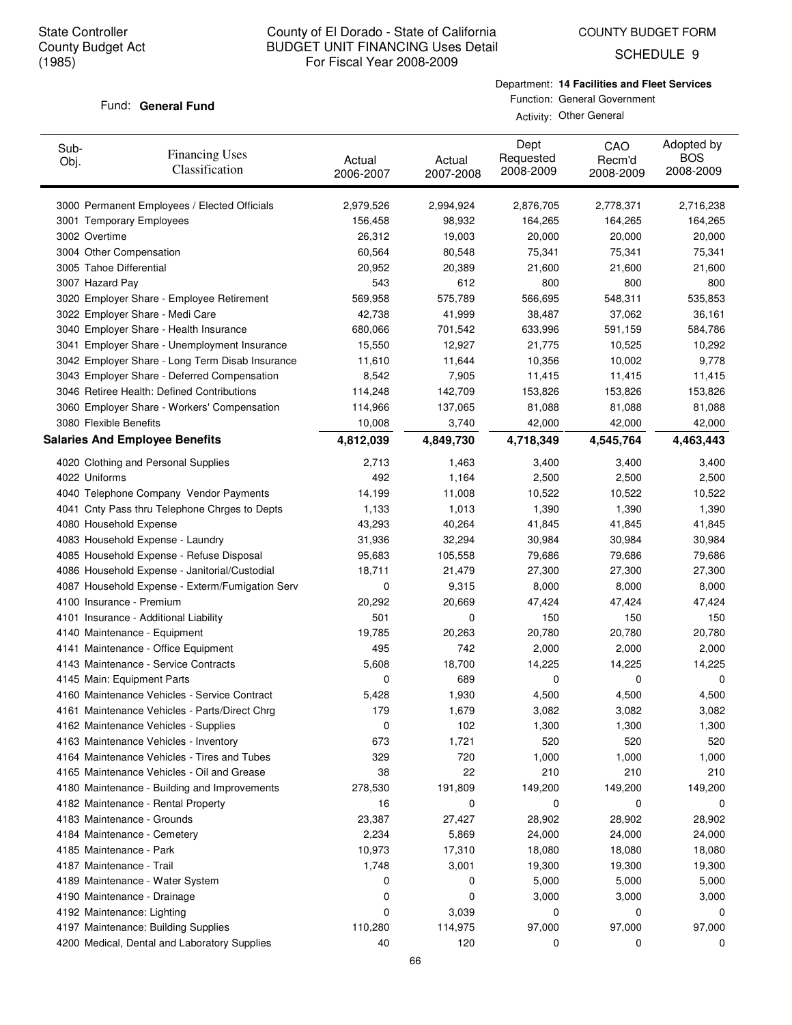COUNTY BUDGET FORM

SCHEDULE 9

### Fund: General Fund

Department: **14 Facilities and Fleet Services**

Function: General Government Activity: Other General

| Sub-<br>Obj.    | <b>Financing Uses</b><br>Classification         | Actual<br>2006-2007 | Actual<br>2007-2008 | Dept<br>Requested<br>2008-2009 | CAO<br>Recm'd<br>2008-2009 | Adopted by<br><b>BOS</b><br>2008-2009 |
|-----------------|-------------------------------------------------|---------------------|---------------------|--------------------------------|----------------------------|---------------------------------------|
|                 | 3000 Permanent Employees / Elected Officials    | 2,979,526           | 2,994,924           | 2,876,705                      | 2,778,371                  | 2,716,238                             |
|                 | 3001 Temporary Employees                        | 156,458             | 98,932              | 164,265                        | 164,265                    | 164,265                               |
| 3002 Overtime   |                                                 | 26,312              | 19,003              | 20,000                         | 20,000                     | 20,000                                |
|                 | 3004 Other Compensation                         | 60,564              | 80,548              | 75,341                         | 75,341                     | 75,341                                |
|                 | 3005 Tahoe Differential                         | 20,952              | 20,389              | 21,600                         | 21,600                     | 21,600                                |
| 3007 Hazard Pay |                                                 | 543                 | 612                 | 800                            | 800                        | 800                                   |
|                 | 3020 Employer Share - Employee Retirement       | 569,958             | 575,789             | 566,695                        | 548,311                    | 535,853                               |
|                 | 3022 Employer Share - Medi Care                 | 42,738              | 41,999              | 38,487                         | 37,062                     | 36,161                                |
|                 | 3040 Employer Share - Health Insurance          | 680,066             | 701,542             | 633,996                        | 591,159                    | 584,786                               |
|                 | 3041 Employer Share - Unemployment Insurance    | 15,550              | 12,927              | 21,775                         | 10,525                     | 10,292                                |
|                 | 3042 Employer Share - Long Term Disab Insurance | 11,610              | 11,644              | 10,356                         | 10,002                     | 9,778                                 |
|                 | 3043 Employer Share - Deferred Compensation     | 8,542               | 7,905               | 11,415                         | 11,415                     | 11,415                                |
|                 | 3046 Retiree Health: Defined Contributions      | 114,248             | 142,709             | 153,826                        | 153,826                    | 153,826                               |
|                 | 3060 Employer Share - Workers' Compensation     | 114,966             | 137,065             | 81,088                         | 81,088                     | 81,088                                |
|                 | 3080 Flexible Benefits                          | 10,008              | 3,740               | 42,000                         | 42,000                     | 42,000                                |
|                 | <b>Salaries And Employee Benefits</b>           | 4,812,039           | 4,849,730           | 4,718,349                      | 4,545,764                  | 4,463,443                             |
|                 | 4020 Clothing and Personal Supplies             | 2,713               | 1,463               | 3,400                          | 3,400                      | 3,400                                 |
| 4022 Uniforms   |                                                 | 492                 | 1,164               | 2,500                          | 2,500                      | 2,500                                 |
|                 | 4040 Telephone Company Vendor Payments          | 14,199              | 11,008              | 10,522                         | 10,522                     | 10,522                                |
|                 | 4041 Cnty Pass thru Telephone Chrges to Depts   | 1,133               | 1,013               | 1,390                          | 1,390                      | 1,390                                 |
|                 | 4080 Household Expense                          | 43,293              | 40,264              | 41,845                         | 41,845                     | 41,845                                |
|                 | 4083 Household Expense - Laundry                | 31,936              | 32,294              | 30,984                         | 30,984                     | 30,984                                |
|                 | 4085 Household Expense - Refuse Disposal        | 95,683              | 105,558             | 79,686                         | 79,686                     | 79,686                                |
|                 | 4086 Household Expense - Janitorial/Custodial   | 18,711              | 21,479              | 27,300                         | 27,300                     | 27,300                                |
|                 | 4087 Household Expense - Exterm/Fumigation Serv | 0                   | 9,315               | 8,000                          | 8,000                      | 8,000                                 |
|                 | 4100 Insurance - Premium                        | 20,292              | 20,669              | 47,424                         | 47,424                     | 47,424                                |
|                 | 4101 Insurance - Additional Liability           | 501                 | 0                   | 150                            | 150                        | 150                                   |
|                 | 4140 Maintenance - Equipment                    | 19,785              | 20,263              | 20,780                         | 20,780                     | 20,780                                |
|                 | 4141 Maintenance - Office Equipment             | 495                 | 742                 | 2,000                          | 2,000                      | 2,000                                 |
|                 | 4143 Maintenance - Service Contracts            | 5,608               | 18,700              | 14,225                         | 14,225                     | 14,225                                |
|                 | 4145 Main: Equipment Parts                      | 0                   | 689                 | 0                              | 0                          | 0                                     |
|                 | 4160 Maintenance Vehicles - Service Contract    | 5,428               | 1,930               | 4,500                          | 4,500                      | 4,500                                 |
|                 | 4161 Maintenance Vehicles - Parts/Direct Chrg   | 179                 | 1,679               | 3,082                          | 3,082                      | 3,082                                 |
|                 | 4162 Maintenance Vehicles - Supplies            | 0                   | 102                 | 1,300                          | 1,300                      | 1,300                                 |
|                 | 4163 Maintenance Vehicles - Inventory           | 673                 | 1,721               | 520                            | 520                        | 520                                   |
|                 | 4164 Maintenance Vehicles - Tires and Tubes     | 329                 | 720                 | 1,000                          | 1,000                      | 1,000                                 |
|                 | 4165 Maintenance Vehicles - Oil and Grease      | 38                  | 22                  | 210                            | 210                        | 210                                   |
|                 | 4180 Maintenance - Building and Improvements    | 278,530             | 191,809             | 149,200                        | 149,200                    | 149,200                               |
|                 | 4182 Maintenance - Rental Property              | 16                  | 0                   | 0                              | 0                          | 0                                     |
|                 | 4183 Maintenance - Grounds                      | 23,387              | 27,427              | 28,902                         | 28,902                     | 28,902                                |
|                 | 4184 Maintenance - Cemetery                     | 2,234               | 5,869               | 24,000                         | 24,000                     | 24,000                                |
|                 | 4185 Maintenance - Park                         | 10,973              | 17,310              | 18,080                         | 18,080                     | 18,080                                |
|                 | 4187 Maintenance - Trail                        | 1,748               | 3,001               | 19,300                         | 19,300                     | 19,300                                |
|                 | 4189 Maintenance - Water System                 | 0                   | 0                   | 5,000                          | 5,000                      | 5,000                                 |
|                 | 4190 Maintenance - Drainage                     | 0                   | 0                   | 3,000                          | 3,000                      | 3,000                                 |
|                 | 4192 Maintenance: Lighting                      | 0                   | 3,039               | 0                              | 0                          | 0                                     |
|                 | 4197 Maintenance: Building Supplies             | 110,280             | 114,975             | 97,000                         | 97,000                     | 97,000                                |
|                 | 4200 Medical, Dental and Laboratory Supplies    | 40                  | 120                 | 0                              | 0                          | 0                                     |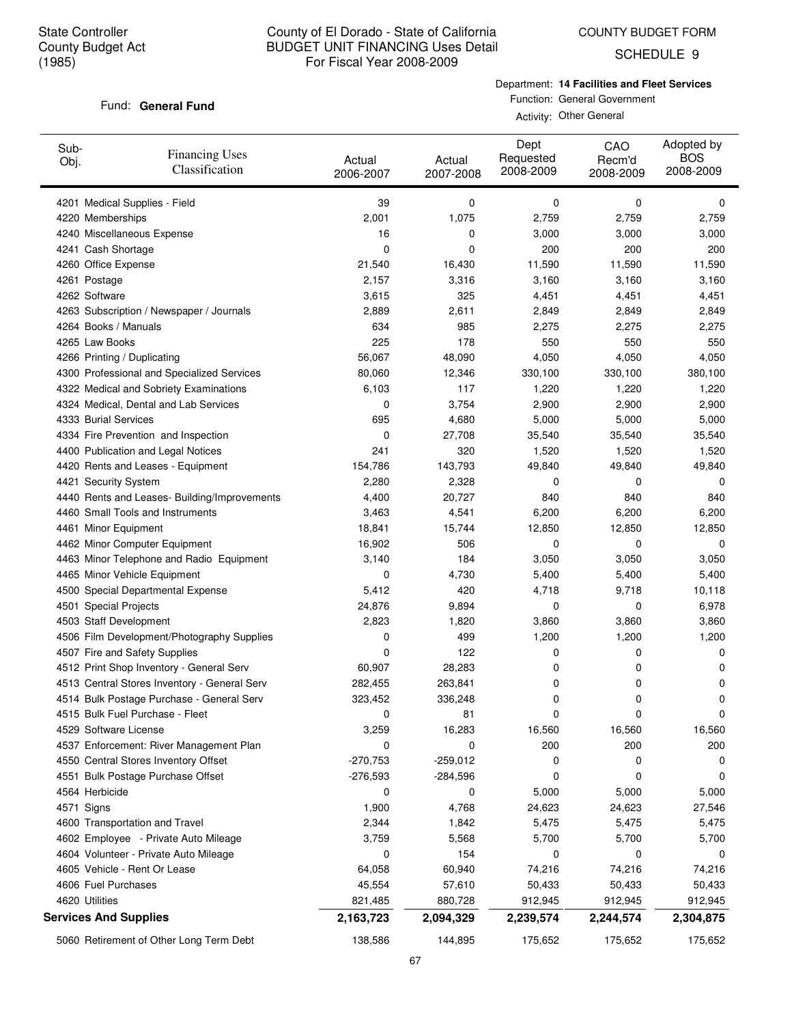COUNTY BUDGET FORM

SCHEDULE 9

## Fund: General Fund

Department: **14 Facilities and Fleet Services**

Function: General Government Activity: Other General

| Sub-<br>Obj.                 | <b>Financing Uses</b><br>Classification      | Actual<br>2006-2007 | Actual<br>2007-2008 | Dept<br>Requested<br>2008-2009 | CAO<br>Recm'd<br>2008-2009 | Adopted by<br><b>BOS</b><br>2008-2009 |
|------------------------------|----------------------------------------------|---------------------|---------------------|--------------------------------|----------------------------|---------------------------------------|
|                              | 4201 Medical Supplies - Field                | 39                  | 0                   | 0                              | 0                          | 0                                     |
| 4220 Memberships             |                                              | 2,001               | 1,075               | 2,759                          | 2,759                      | 2,759                                 |
|                              | 4240 Miscellaneous Expense                   | 16                  | 0                   | 3,000                          | 3,000                      | 3,000                                 |
| 4241 Cash Shortage           |                                              | 0                   | 0                   | 200                            | 200                        | 200                                   |
| 4260 Office Expense          |                                              | 21,540              | 16,430              | 11,590                         | 11,590                     | 11,590                                |
| 4261 Postage                 |                                              | 2,157               | 3,316               | 3,160                          | 3,160                      | 3,160                                 |
| 4262 Software                |                                              | 3,615               | 325                 | 4,451                          | 4,451                      | 4,451                                 |
|                              | 4263 Subscription / Newspaper / Journals     | 2,889               | 2,611               | 2,849                          | 2,849                      | 2,849                                 |
| 4264 Books / Manuals         |                                              | 634                 | 985                 | 2,275                          | 2,275                      | 2,275                                 |
| 4265 Law Books               |                                              | 225                 | 178                 | 550                            | 550                        | 550                                   |
| 4266 Printing / Duplicating  |                                              | 56,067              | 48,090              | 4,050                          | 4,050                      | 4,050                                 |
|                              | 4300 Professional and Specialized Services   | 80,060              | 12,346              | 330,100                        | 330,100                    | 380,100                               |
|                              | 4322 Medical and Sobriety Examinations       | 6,103               | 117                 | 1,220                          | 1,220                      | 1,220                                 |
|                              | 4324 Medical, Dental and Lab Services        | 0                   | 3,754               | 2,900                          | 2,900                      | 2,900                                 |
| 4333 Burial Services         |                                              | 695                 | 4,680               | 5,000                          | 5,000                      | 5,000                                 |
|                              | 4334 Fire Prevention and Inspection          | 0                   | 27,708              | 35,540                         | 35,540                     | 35,540                                |
|                              | 4400 Publication and Legal Notices           | 241                 | 320                 | 1,520                          | 1,520                      | 1,520                                 |
|                              | 4420 Rents and Leases - Equipment            | 154,786             | 143,793             | 49,840                         | 49,840                     | 49,840                                |
| 4421 Security System         |                                              | 2,280               | 2,328               | 0                              | 0                          | 0                                     |
|                              | 4440 Rents and Leases- Building/Improvements | 4,400               | 20,727              | 840                            | 840                        | 840                                   |
|                              | 4460 Small Tools and Instruments             | 3,463               | 4,541               | 6,200                          | 6,200                      | 6,200                                 |
| 4461 Minor Equipment         |                                              | 18,841              | 15,744              | 12,850                         | 12,850                     | 12,850                                |
|                              | 4462 Minor Computer Equipment                | 16,902              | 506                 | 0                              | 0                          | 0                                     |
|                              | 4463 Minor Telephone and Radio Equipment     | 3,140               | 184                 | 3,050                          | 3,050                      | 3,050                                 |
|                              | 4465 Minor Vehicle Equipment                 | 0                   | 4,730               | 5,400                          | 5,400                      | 5,400                                 |
|                              | 4500 Special Departmental Expense            | 5,412               | 420                 | 4,718                          | 9,718                      | 10,118                                |
| 4501 Special Projects        |                                              | 24,876              | 9,894               | 0                              | 0                          | 6,978                                 |
| 4503 Staff Development       |                                              | 2,823               | 1,820               | 3,860                          | 3,860                      | 3,860                                 |
|                              | 4506 Film Development/Photography Supplies   | 0                   | 499                 | 1,200                          | 1,200                      | 1,200                                 |
|                              | 4507 Fire and Safety Supplies                | 0                   | 122                 | 0                              | 0                          | 0                                     |
|                              | 4512 Print Shop Inventory - General Serv     | 60,907              | 28,283              | 0                              | 0                          | 0                                     |
|                              | 4513 Central Stores Inventory - General Serv | 282,455             | 263,841             | 0                              |                            | 0                                     |
|                              | 4514 Bulk Postage Purchase - General Serv    |                     |                     | 0                              | 0<br>0                     | 0                                     |
|                              |                                              | 323,452             | 336,248             |                                |                            |                                       |
|                              | 4515 Bulk Fuel Purchase - Fleet              | 0                   | 81                  | 0                              | 0                          | 0                                     |
| 4529 Software License        |                                              | 3,259               | 16,283              | 16,560                         | 16,560                     | 16,560                                |
|                              | 4537 Enforcement: River Management Plan      | 0                   | 0                   | 200                            | 200                        | 200                                   |
|                              | 4550 Central Stores Inventory Offset         | $-270,753$          | $-259,012$          | 0                              | 0                          | 0                                     |
|                              | 4551 Bulk Postage Purchase Offset            | $-276,593$          | -284,596            | 0                              | 0                          | 0                                     |
| 4564 Herbicide               |                                              | 0                   | 0                   | 5,000                          | 5,000                      | 5,000                                 |
| 4571 Signs                   |                                              | 1,900               | 4,768               | 24,623                         | 24,623                     | 27,546                                |
|                              | 4600 Transportation and Travel               | 2,344               | 1,842               | 5,475                          | 5,475                      | 5,475                                 |
|                              | 4602 Employee - Private Auto Mileage         | 3,759               | 5,568               | 5,700                          | 5,700                      | 5,700                                 |
|                              | 4604 Volunteer - Private Auto Mileage        | 0                   | 154                 | 0                              | 0                          | 0                                     |
|                              | 4605 Vehicle - Rent Or Lease                 | 64,058              | 60,940              | 74,216                         | 74,216                     | 74,216                                |
| 4606 Fuel Purchases          |                                              | 45,554              | 57,610              | 50,433                         | 50,433                     | 50,433                                |
| 4620 Utilities               |                                              | 821,485             | 880,728             | 912,945                        | 912,945                    | 912,945                               |
| <b>Services And Supplies</b> |                                              | 2,163,723           | 2,094,329           | 2,239,574                      | 2,244,574                  | 2,304,875                             |
|                              | 5060 Retirement of Other Long Term Debt      | 138,586             | 144,895             | 175,652                        | 175,652                    | 175,652                               |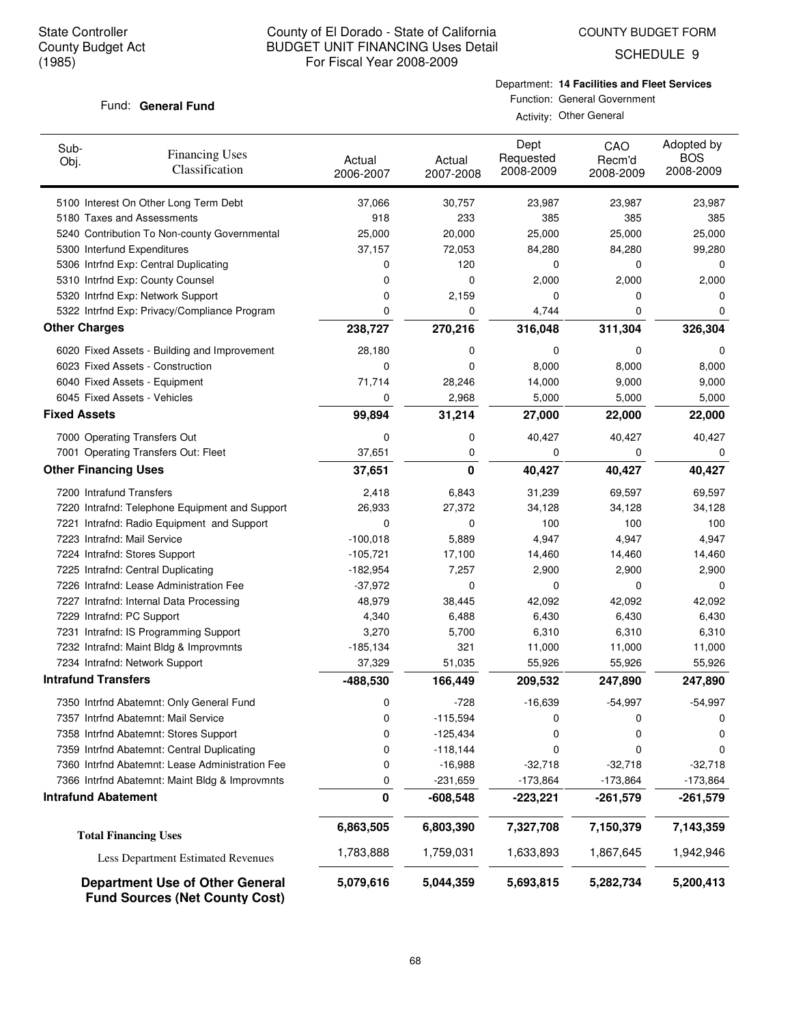COUNTY BUDGET FORM

SCHEDULE 9

## Fund: General Fund

Department: **14 Facilities and Fleet Services** Function: General Government

| Sub-<br><b>Financing Uses</b><br>Obj.<br>Classification                         | Actual<br>2006-2007 | Actual<br>2007-2008 | Dept<br>Requested<br>2008-2009 | CAO<br>Recm'd<br>2008-2009 | Adopted by<br><b>BOS</b><br>2008-2009 |
|---------------------------------------------------------------------------------|---------------------|---------------------|--------------------------------|----------------------------|---------------------------------------|
| 5100 Interest On Other Long Term Debt                                           | 37,066              | 30,757              | 23,987                         | 23,987                     | 23,987                                |
| 5180 Taxes and Assessments                                                      | 918                 | 233                 | 385                            | 385                        | 385                                   |
| 5240 Contribution To Non-county Governmental                                    | 25,000              | 20,000              | 25,000                         | 25,000                     | 25,000                                |
| 5300 Interfund Expenditures                                                     | 37,157              | 72,053              | 84,280                         | 84,280                     | 99,280                                |
| 5306 Intrfnd Exp: Central Duplicating                                           | 0                   | 120                 | 0                              | 0                          | 0                                     |
| 5310 Intrfnd Exp: County Counsel                                                | 0                   | 0                   | 2,000                          | 2,000                      | 2,000                                 |
| 5320 Intrfnd Exp: Network Support                                               | 0                   | 2,159               | 0                              | 0                          | 0                                     |
| 5322 Intrfnd Exp: Privacy/Compliance Program                                    | 0                   | 0                   | 4,744                          | $\mathbf 0$                | 0                                     |
| <b>Other Charges</b>                                                            | 238,727             | 270,216             | 316,048                        | 311,304                    | 326,304                               |
| 6020 Fixed Assets - Building and Improvement                                    | 28,180              | 0                   | 0                              | 0                          | 0                                     |
| 6023 Fixed Assets - Construction                                                | 0                   | 0                   | 8,000                          | 8,000                      | 8,000                                 |
| 6040 Fixed Assets - Equipment                                                   | 71,714              | 28,246              | 14,000                         | 9,000                      | 9,000                                 |
| 6045 Fixed Assets - Vehicles                                                    | 0                   | 2,968               | 5,000                          | 5,000                      | 5,000                                 |
| <b>Fixed Assets</b>                                                             | 99,894              | 31,214              | 27,000                         | 22,000                     | 22,000                                |
| 7000 Operating Transfers Out                                                    | 0                   | 0                   | 40,427                         | 40,427                     | 40,427                                |
| 7001 Operating Transfers Out: Fleet                                             | 37,651              | 0                   | 0                              | 0                          | 0                                     |
| <b>Other Financing Uses</b>                                                     | 37,651              | 0                   | 40,427                         | 40,427                     | 40,427                                |
| 7200 Intrafund Transfers                                                        | 2,418               | 6,843               | 31,239                         | 69,597                     | 69,597                                |
| 7220 Intrafnd: Telephone Equipment and Support                                  | 26,933              | 27,372              | 34,128                         | 34,128                     | 34,128                                |
| 7221 Intrafnd: Radio Equipment and Support                                      | 0                   | 0                   | 100                            | 100                        | 100                                   |
| 7223 Intrafnd: Mail Service                                                     | $-100,018$          | 5,889               | 4,947                          | 4,947                      | 4,947                                 |
| 7224 Intrafnd: Stores Support                                                   | $-105,721$          | 17,100              | 14,460                         | 14,460                     | 14,460                                |
| 7225 Intrafnd: Central Duplicating                                              | $-182,954$          | 7,257               | 2,900                          | 2,900                      | 2,900                                 |
| 7226 Intrafnd: Lease Administration Fee                                         | $-37,972$           | 0                   | 0                              | 0                          | 0                                     |
| 7227 Intrafnd: Internal Data Processing                                         | 48,979              | 38,445              | 42,092                         | 42,092                     | 42,092                                |
| 7229 Intrafnd: PC Support                                                       | 4,340               | 6,488               | 6,430                          | 6,430                      | 6,430                                 |
| 7231 Intrafnd: IS Programming Support                                           | 3,270               | 5,700               | 6,310                          | 6,310                      | 6,310                                 |
| 7232 Intrafnd: Maint Bldg & Improvmnts                                          | $-185,134$          | 321                 | 11,000                         | 11,000                     | 11,000                                |
| 7234 Intrafnd: Network Support                                                  | 37,329              | 51,035              | 55,926                         | 55,926                     | 55,926                                |
| <b>Intrafund Transfers</b>                                                      | -488,530            | 166,449             | 209,532                        | 247,890                    | 247,890                               |
| 7350 Intrfnd Abatemnt: Only General Fund                                        | 0                   | $-728$              | $-16,639$                      | $-54,997$                  | $-54,997$                             |
| 7357 Intrfnd Abatemnt: Mail Service                                             | 0                   | $-115,594$          | 0                              | 0                          | 0                                     |
| 7358 Intrfnd Abatemnt: Stores Support                                           | 0                   | $-125,434$          | 0                              | 0                          | 0                                     |
| 7359 Intrfnd Abatemnt: Central Duplicating                                      | 0                   | $-118,144$          | 0                              | 0                          | 0                                     |
| 7360 Intrfnd Abatemnt: Lease Administration Fee                                 | 0                   | $-16,988$           | $-32,718$                      | $-32,718$                  | $-32,718$                             |
| 7366 Intrfnd Abatemnt: Maint Bldg & Improvmnts                                  | 0                   | $-231,659$          | $-173,864$                     | $-173,864$                 | $-173,864$                            |
| <b>Intrafund Abatement</b>                                                      | 0                   | $-608,548$          | $-223,221$                     | $-261,579$                 | $-261,579$                            |
| <b>Total Financing Uses</b>                                                     | 6,863,505           | 6,803,390           | 7,327,708                      | 7,150,379                  | 7,143,359                             |
| Less Department Estimated Revenues                                              | 1,783,888           | 1,759,031           | 1,633,893                      | 1,867,645                  | 1,942,946                             |
| <b>Department Use of Other General</b><br><b>Fund Sources (Net County Cost)</b> | 5,079,616           | 5,044,359           | 5,693,815                      | 5,282,734                  | 5,200,413                             |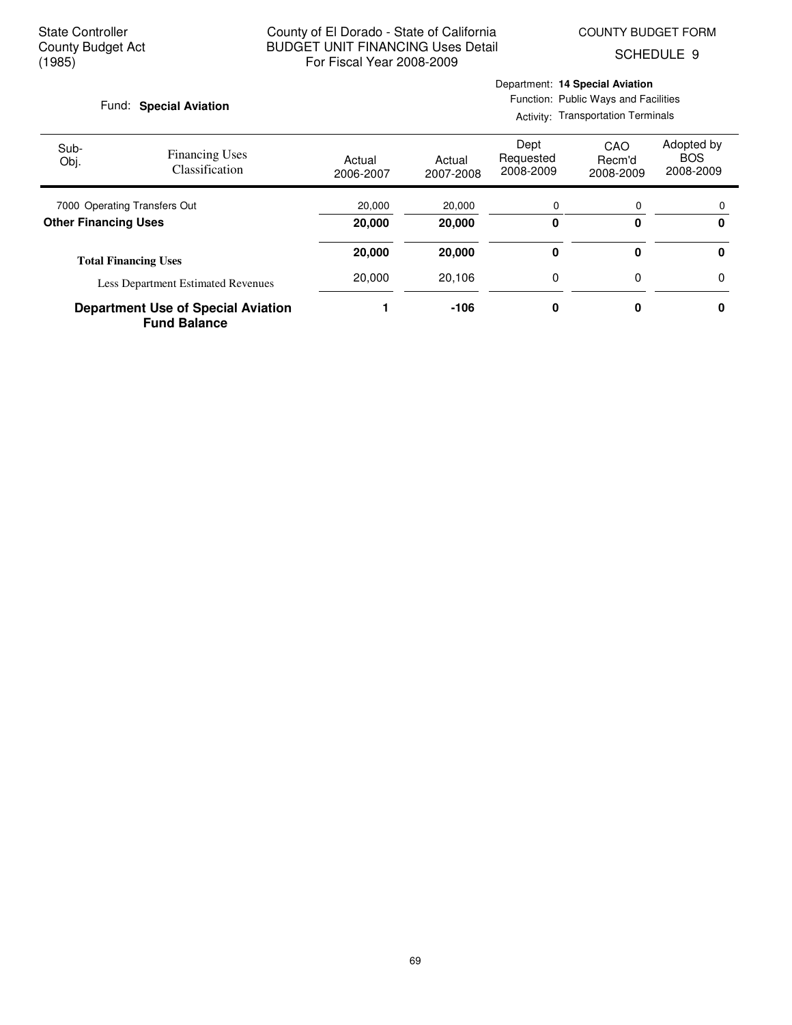SCHEDULE 9

#### Fund: Special Aviation

## Department: **14 Special Aviation** Function: Public Ways and Facilities

Activity: Transportation Terminals

| Sub-<br>Obj.                 | <b>Financing Uses</b><br><b>Classification</b>                   | Actual<br>2006-2007 | Actual<br>2007-2008 | Dept<br>Requested<br>2008-2009 | CAO<br>Recm'd<br>2008-2009 | Adopted by<br><b>BOS</b><br>2008-2009 |
|------------------------------|------------------------------------------------------------------|---------------------|---------------------|--------------------------------|----------------------------|---------------------------------------|
| 7000 Operating Transfers Out |                                                                  | 20,000              | 20,000              | 0                              | 0                          | $\Omega$                              |
| <b>Other Financing Uses</b>  |                                                                  | 20,000              | 20,000              | 0                              | 0                          | 0                                     |
|                              | <b>Total Financing Uses</b>                                      |                     | 20,000              | 0                              | 0                          | 0                                     |
|                              | <b>Less Department Estimated Revenues</b>                        | 20,000              | 20.106              | 0                              | $\Omega$                   | 0                                     |
|                              | <b>Department Use of Special Aviation</b><br><b>Fund Balance</b> |                     | $-106$              | 0                              | 0                          | 0                                     |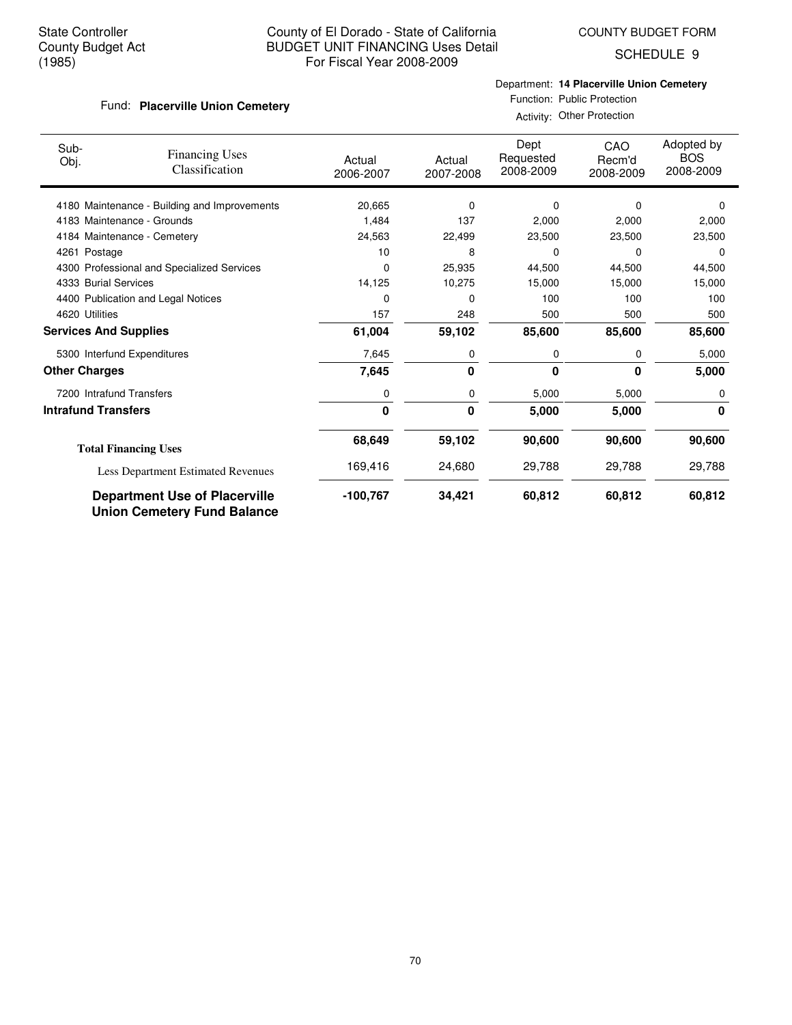Fund: Placerville Union Cemetery

## County of El Dorado - State of California BUDGET UNIT FINANCING Uses Detail For Fiscal Year 2008-2009

COUNTY BUDGET FORM

SCHEDULE 9

# Department: **14 Placerville Union Cemetery**

Function: Public Protection Activity: Other Protection

| Sub-<br>Obj.                 | <b>Financing Uses</b><br>Classification                                    | Actual<br>2006-2007 | Actual<br>2007-2008 | Dept<br>Requested<br>2008-2009 | CAO<br>Recm'd<br>2008-2009 | Adopted by<br><b>BOS</b><br>2008-2009 |
|------------------------------|----------------------------------------------------------------------------|---------------------|---------------------|--------------------------------|----------------------------|---------------------------------------|
|                              | 4180 Maintenance - Building and Improvements                               | 20,665              | 0                   | 0                              | 0                          | 0                                     |
|                              | 4183 Maintenance - Grounds                                                 | 1,484               | 137                 | 2,000                          | 2,000                      | 2,000                                 |
|                              | 4184 Maintenance - Cemetery                                                | 24,563              | 22,499              | 23,500                         | 23,500                     | 23,500                                |
| 4261 Postage                 |                                                                            | 10                  | 8                   | 0                              | $\Omega$                   | $\Omega$                              |
|                              | 4300 Professional and Specialized Services                                 | 0                   | 25,935              | 44,500                         | 44,500                     | 44,500                                |
| 4333 Burial Services         |                                                                            | 14,125              | 10,275              | 15,000                         | 15,000                     | 15,000                                |
|                              | 4400 Publication and Legal Notices                                         | 0                   | $\Omega$            | 100                            | 100                        | 100                                   |
| 4620 Utilities               |                                                                            | 157                 | 248                 | 500                            | 500                        | 500                                   |
| <b>Services And Supplies</b> |                                                                            | 61,004              | 59,102              | 85,600                         | 85,600                     | 85,600                                |
|                              | 5300 Interfund Expenditures                                                | 7,645               | 0                   | 0                              | 0                          | 5,000                                 |
| <b>Other Charges</b>         |                                                                            | 7,645               | 0                   | 0                              | $\bf{0}$                   | 5,000                                 |
|                              | 7200 Intrafund Transfers                                                   | 0                   | 0                   | 5,000                          | 5,000                      | 0                                     |
| <b>Intrafund Transfers</b>   |                                                                            | $\mathbf 0$         | 0                   | 5,000                          | 5,000                      | 0                                     |
|                              | <b>Total Financing Uses</b>                                                | 68,649              | 59,102              | 90,600                         | 90,600                     | 90,600                                |
|                              | Less Department Estimated Revenues                                         | 169,416             | 24,680              | 29,788                         | 29,788                     | 29,788                                |
|                              | <b>Department Use of Placerville</b><br><b>Union Cemetery Fund Balance</b> | -100,767            | 34,421              | 60,812                         | 60,812                     | 60,812                                |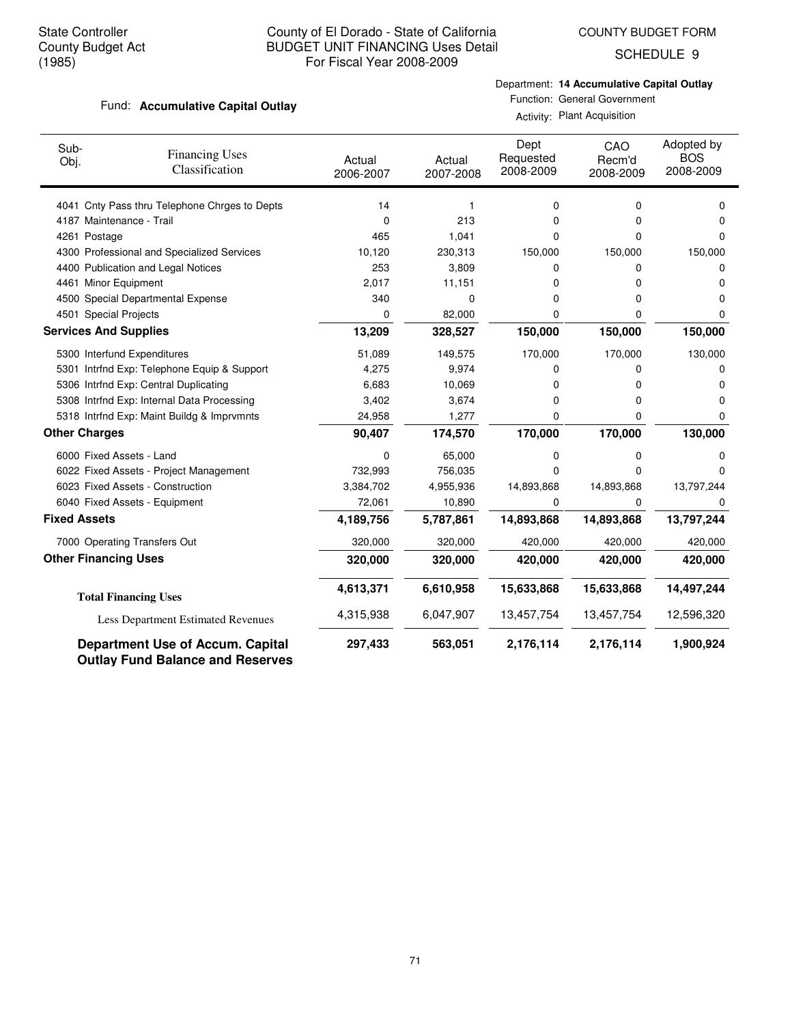COUNTY BUDGET FORM

SCHEDULE 9

## Fund: **Accumulative Capital Outlay**

Department: **14 Accumulative Capital Outlay**

Function: General Government Activity: Plant Acquisition

| Sub-<br>Obj.                 | <b>Financing Uses</b><br>Classification                                            | Actual<br>2006-2007 | Actual<br>2007-2008 | Dept<br>Requested<br>2008-2009 | CAO<br>Recm'd<br>2008-2009 | Adopted by<br><b>BOS</b><br>2008-2009 |
|------------------------------|------------------------------------------------------------------------------------|---------------------|---------------------|--------------------------------|----------------------------|---------------------------------------|
|                              | 4041 Cnty Pass thru Telephone Chrges to Depts                                      | 14                  | 1                   | 0                              | 0                          | 0                                     |
| 4187 Maintenance - Trail     |                                                                                    | 0                   | 213                 | 0                              | 0                          | 0                                     |
| 4261 Postage                 |                                                                                    | 465                 | 1,041               | 0                              | 0                          | 0                                     |
|                              | 4300 Professional and Specialized Services                                         | 10,120              | 230,313             | 150,000                        | 150,000                    | 150,000                               |
|                              | 4400 Publication and Legal Notices                                                 | 253                 | 3,809               | 0                              | 0                          | 0                                     |
| 4461 Minor Equipment         |                                                                                    | 2,017               | 11,151              | 0                              | 0                          | 0                                     |
|                              | 4500 Special Departmental Expense                                                  | 340                 | 0                   | 0                              | 0                          | 0                                     |
| 4501 Special Projects        |                                                                                    | 0                   | 82,000              | 0                              | 0                          | 0                                     |
| <b>Services And Supplies</b> |                                                                                    | 13,209              | 328,527             | 150,000                        | 150,000                    | 150,000                               |
|                              | 5300 Interfund Expenditures                                                        | 51,089              | 149,575             | 170,000                        | 170,000                    | 130,000                               |
|                              | 5301 Intrfnd Exp: Telephone Equip & Support                                        | 4,275               | 9,974               | 0                              | 0                          | 0                                     |
|                              | 5306 Intrfnd Exp: Central Duplicating                                              | 6,683               | 10,069              | 0                              | 0                          | 0                                     |
|                              | 5308 Intrfnd Exp: Internal Data Processing                                         | 3,402               | 3,674               | 0                              | 0                          | 0                                     |
|                              | 5318 Intrfnd Exp: Maint Buildg & Imprymnts                                         | 24,958              | 1,277               | 0                              | 0                          | 0                                     |
| <b>Other Charges</b>         |                                                                                    | 90,407              | 174,570             | 170,000                        | 170,000                    | 130,000                               |
| 6000 Fixed Assets - Land     |                                                                                    | 0                   | 65,000              | 0                              | 0                          | 0                                     |
|                              | 6022 Fixed Assets - Project Management                                             | 732,993             | 756,035             | 0                              | $\Omega$                   | O                                     |
|                              | 6023 Fixed Assets - Construction                                                   | 3,384,702           | 4,955,936           | 14,893,868                     | 14,893,868                 | 13,797,244                            |
|                              | 6040 Fixed Assets - Equipment                                                      | 72,061              | 10,890              | 0                              | 0                          | 0                                     |
| <b>Fixed Assets</b>          |                                                                                    | 4,189,756           | 5,787,861           | 14,893,868                     | 14,893,868                 | 13,797,244                            |
|                              | 7000 Operating Transfers Out                                                       | 320,000             | 320,000             | 420,000                        | 420,000                    | 420,000                               |
| <b>Other Financing Uses</b>  |                                                                                    | 320,000             | 320,000             | 420,000                        | 420,000                    | 420,000                               |
|                              | <b>Total Financing Uses</b>                                                        | 4,613,371           | 6,610,958           | 15,633,868                     | 15,633,868                 | 14,497,244                            |
|                              | <b>Less Department Estimated Revenues</b>                                          | 4,315,938           | 6,047,907           | 13,457,754                     | 13,457,754                 | 12,596,320                            |
|                              | <b>Department Use of Accum. Capital</b><br><b>Outlay Fund Balance and Reserves</b> | 297,433             | 563,051             | 2,176,114                      | 2,176,114                  | 1,900,924                             |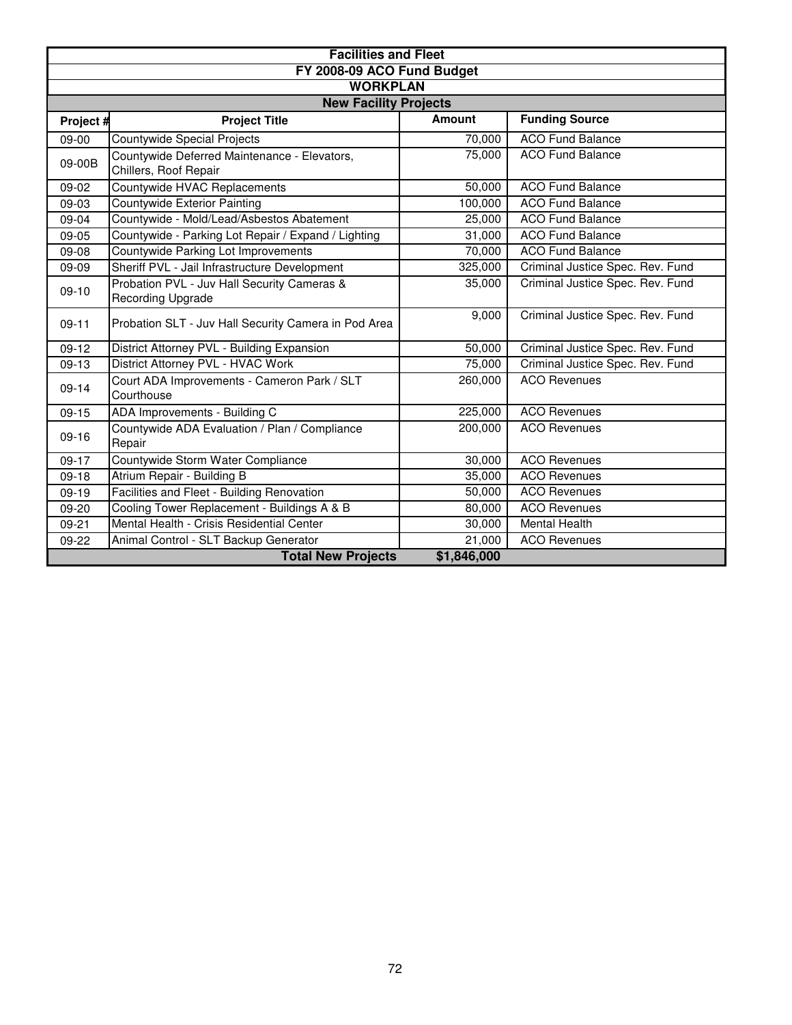|           | <b>Facilities and Fleet</b>                                           |               |                                  |  |  |  |  |  |  |
|-----------|-----------------------------------------------------------------------|---------------|----------------------------------|--|--|--|--|--|--|
|           | FY 2008-09 ACO Fund Budget                                            |               |                                  |  |  |  |  |  |  |
|           | <b>WORKPLAN</b>                                                       |               |                                  |  |  |  |  |  |  |
|           | <b>New Facility Projects</b>                                          |               |                                  |  |  |  |  |  |  |
| Project # | <b>Project Title</b>                                                  | <b>Amount</b> | <b>Funding Source</b>            |  |  |  |  |  |  |
| 09-00     | <b>Countywide Special Projects</b>                                    | 70,000        | <b>ACO Fund Balance</b>          |  |  |  |  |  |  |
| 09-00B    | Countywide Deferred Maintenance - Elevators,<br>Chillers, Roof Repair | 75,000        | <b>ACO Fund Balance</b>          |  |  |  |  |  |  |
| 09-02     | Countywide HVAC Replacements                                          | 50,000        | <b>ACO Fund Balance</b>          |  |  |  |  |  |  |
| 09-03     | Countywide Exterior Painting                                          | 100,000       | <b>ACO Fund Balance</b>          |  |  |  |  |  |  |
| 09-04     | Countywide - Mold/Lead/Asbestos Abatement                             | 25,000        | <b>ACO</b> Fund Balance          |  |  |  |  |  |  |
| $09-05$   | Countywide - Parking Lot Repair / Expand / Lighting                   | 31,000        | <b>ACO Fund Balance</b>          |  |  |  |  |  |  |
| 09-08     | Countywide Parking Lot Improvements                                   | 70,000        | <b>ACO Fund Balance</b>          |  |  |  |  |  |  |
| 09-09     | Sheriff PVL - Jail Infrastructure Development                         | 325,000       | Criminal Justice Spec. Rev. Fund |  |  |  |  |  |  |
| $09-10$   | Probation PVL - Juv Hall Security Cameras &<br>Recording Upgrade      | 35,000        | Criminal Justice Spec. Rev. Fund |  |  |  |  |  |  |
| $09-11$   | Probation SLT - Juv Hall Security Camera in Pod Area                  | 9,000         | Criminal Justice Spec. Rev. Fund |  |  |  |  |  |  |
| $09-12$   | District Attorney PVL - Building Expansion                            | 50,000        | Criminal Justice Spec. Rev. Fund |  |  |  |  |  |  |
| 09-13     | District Attorney PVL - HVAC Work                                     | 75,000        | Criminal Justice Spec. Rev. Fund |  |  |  |  |  |  |
| $09-14$   | Court ADA Improvements - Cameron Park / SLT<br>Courthouse             | 260,000       | <b>ACO Revenues</b>              |  |  |  |  |  |  |
| $09-15$   | ADA Improvements - Building C                                         | 225,000       | <b>ACO Revenues</b>              |  |  |  |  |  |  |
| $09-16$   | Countywide ADA Evaluation / Plan / Compliance<br>Repair               | 200,000       | <b>ACO Revenues</b>              |  |  |  |  |  |  |
| $09-17$   | Countywide Storm Water Compliance                                     | 30,000        | <b>ACO Revenues</b>              |  |  |  |  |  |  |
| $09-18$   | Atrium Repair - Building B                                            | 35,000        | <b>ACO Revenues</b>              |  |  |  |  |  |  |
| $09-19$   | Facilities and Fleet - Building Renovation                            | 50,000        | <b>ACO Revenues</b>              |  |  |  |  |  |  |
| 09-20     | Cooling Tower Replacement - Buildings A & B                           | 80,000        | <b>ACO Revenues</b>              |  |  |  |  |  |  |
| $09 - 21$ | Mental Health - Crisis Residential Center                             | 30,000        | <b>Mental Health</b>             |  |  |  |  |  |  |
| 09-22     | Animal Control - SLT Backup Generator                                 | 21,000        | <b>ACO Revenues</b>              |  |  |  |  |  |  |
|           | <b>Total New Projects</b>                                             | \$1,846,000   |                                  |  |  |  |  |  |  |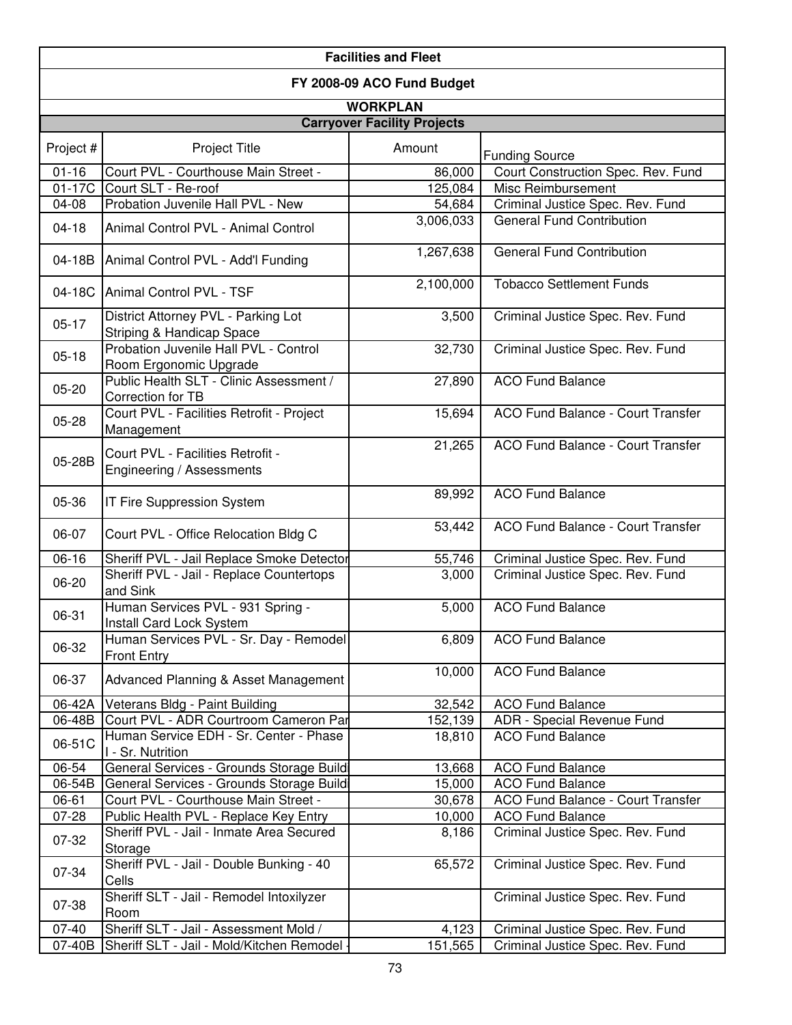| <b>Facilities and Fleet</b>        |                                                                      |                    |                                          |  |  |  |  |  |  |
|------------------------------------|----------------------------------------------------------------------|--------------------|------------------------------------------|--|--|--|--|--|--|
| FY 2008-09 ACO Fund Budget         |                                                                      |                    |                                          |  |  |  |  |  |  |
| <b>WORKPLAN</b>                    |                                                                      |                    |                                          |  |  |  |  |  |  |
| <b>Carryover Facility Projects</b> |                                                                      |                    |                                          |  |  |  |  |  |  |
|                                    |                                                                      |                    |                                          |  |  |  |  |  |  |
| Project #                          | Project Title                                                        | Amount             | <b>Funding Source</b>                    |  |  |  |  |  |  |
| $01 - 16$                          | Court PVL - Courthouse Main Street -                                 | 86,000             | Court Construction Spec. Rev. Fund       |  |  |  |  |  |  |
| $01-17C$                           | Court SLT - Re-roof                                                  | 125,084            | Misc Reimbursement                       |  |  |  |  |  |  |
| 04-08                              | Probation Juvenile Hall PVL - New                                    | 54,684             | Criminal Justice Spec. Rev. Fund         |  |  |  |  |  |  |
| $04-18$                            | Animal Control PVL - Animal Control                                  | 3,006,033          | <b>General Fund Contribution</b>         |  |  |  |  |  |  |
| 04-18B                             | Animal Control PVL - Add'l Funding                                   | 1,267,638          | <b>General Fund Contribution</b>         |  |  |  |  |  |  |
|                                    | 04-18C Animal Control PVL - TSF                                      | 2,100,000          | <b>Tobacco Settlement Funds</b>          |  |  |  |  |  |  |
| $05-17$                            | District Attorney PVL - Parking Lot<br>Striping & Handicap Space     | $\overline{3,500}$ | Criminal Justice Spec. Rev. Fund         |  |  |  |  |  |  |
| $05-18$                            | Probation Juvenile Hall PVL - Control<br>Room Ergonomic Upgrade      | 32,730             | Criminal Justice Spec. Rev. Fund         |  |  |  |  |  |  |
| $05 - 20$                          | Public Health SLT - Clinic Assessment /<br>Correction for TB         | 27,890             | <b>ACO Fund Balance</b>                  |  |  |  |  |  |  |
| 05-28                              | Court PVL - Facilities Retrofit - Project<br>Management              | 15,694             | ACO Fund Balance - Court Transfer        |  |  |  |  |  |  |
| 05-28B                             | Court PVL - Facilities Retrofit -<br>Engineering / Assessments       | 21,265             | ACO Fund Balance - Court Transfer        |  |  |  |  |  |  |
| 05-36                              | IT Fire Suppression System                                           | 89,992             | <b>ACO Fund Balance</b>                  |  |  |  |  |  |  |
| 06-07                              | Court PVL - Office Relocation Bldg C                                 | 53,442             | <b>ACO Fund Balance - Court Transfer</b> |  |  |  |  |  |  |
| 06-16                              | Sheriff PVL - Jail Replace Smoke Detector                            | 55,746             | Criminal Justice Spec. Rev. Fund         |  |  |  |  |  |  |
| 06-20                              | Sheriff PVL - Jail - Replace Countertops<br>and Sink                 | 3,000              | Criminal Justice Spec. Rev. Fund         |  |  |  |  |  |  |
| 06-31                              | Human Services PVL - 931 Spring -<br><b>Install Card Lock System</b> | 5,000              | <b>ACO Fund Balance</b>                  |  |  |  |  |  |  |
| 06-32                              | Human Services PVL - Sr. Day - Remodel<br><b>Front Entry</b>         | 6,809              | <b>ACO Fund Balance</b>                  |  |  |  |  |  |  |
| 06-37                              | Advanced Planning & Asset Management                                 | 10,000             | <b>ACO Fund Balance</b>                  |  |  |  |  |  |  |
| 06-42A                             | Veterans Bldg - Paint Building                                       | 32,542             | <b>ACO Fund Balance</b>                  |  |  |  |  |  |  |
| 06-48B                             | Court PVL - ADR Courtroom Cameron Par                                | 152,139            | ADR - Special Revenue Fund               |  |  |  |  |  |  |
| 06-51C                             | Human Service EDH - Sr. Center - Phase<br>I - Sr. Nutrition          | 18,810             | <b>ACO Fund Balance</b>                  |  |  |  |  |  |  |
| 06-54                              | General Services - Grounds Storage Buildi                            | 13,668             | <b>ACO Fund Balance</b>                  |  |  |  |  |  |  |
| 06-54B                             | General Services - Grounds Storage Buildi                            | 15,000             | <b>ACO Fund Balance</b>                  |  |  |  |  |  |  |
| 06-61                              | Court PVL - Courthouse Main Street -                                 | 30,678             | ACO Fund Balance - Court Transfer        |  |  |  |  |  |  |
| 07-28                              | Public Health PVL - Replace Key Entry                                | 10,000             | <b>ACO Fund Balance</b>                  |  |  |  |  |  |  |
| 07-32                              | Sheriff PVL - Jail - Inmate Area Secured<br>Storage                  | 8,186              | Criminal Justice Spec. Rev. Fund         |  |  |  |  |  |  |
| 07-34                              | Sheriff PVL - Jail - Double Bunking - 40<br>Cells                    | 65,572             | Criminal Justice Spec. Rev. Fund         |  |  |  |  |  |  |
| 07-38                              | Sheriff SLT - Jail - Remodel Intoxilyzer<br>Room                     |                    | Criminal Justice Spec. Rev. Fund         |  |  |  |  |  |  |
| $07 - 40$                          | Sheriff SLT - Jail - Assessment Mold /                               | 4,123              | Criminal Justice Spec. Rev. Fund         |  |  |  |  |  |  |
| 07-40B                             | Sheriff SLT - Jail - Mold/Kitchen Remodel                            | 151,565            | Criminal Justice Spec. Rev. Fund         |  |  |  |  |  |  |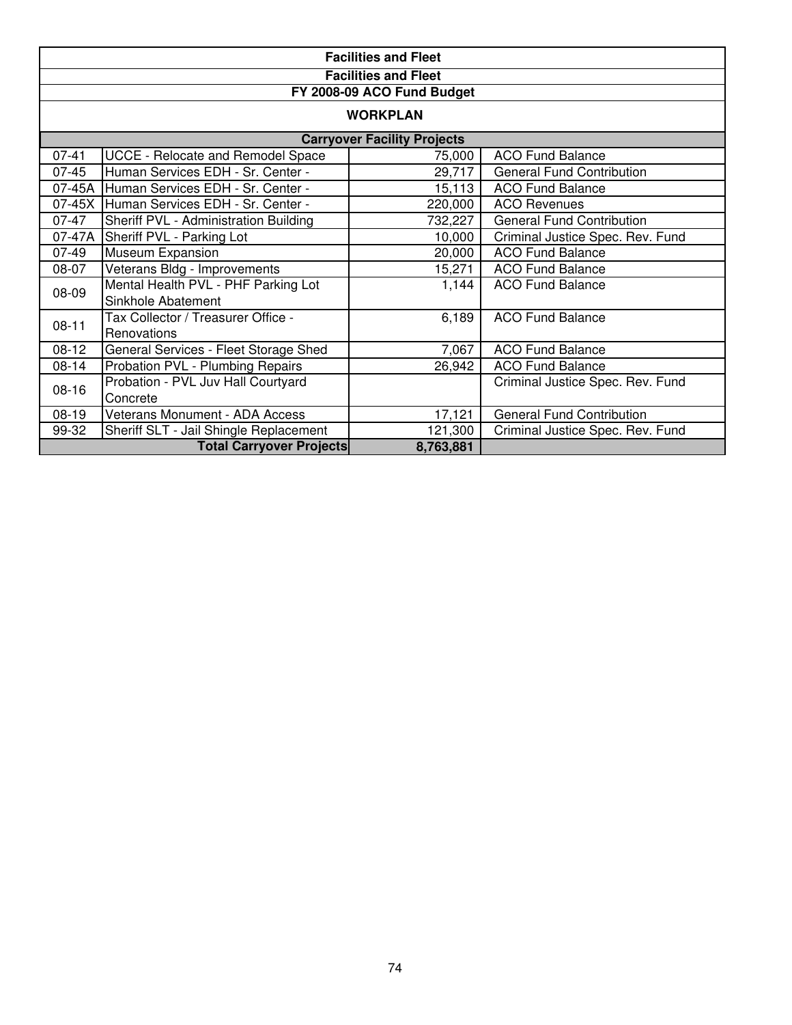|                                    | <b>Facilities and Fleet</b>              |           |                                  |  |  |  |  |  |
|------------------------------------|------------------------------------------|-----------|----------------------------------|--|--|--|--|--|
|                                    | <b>Facilities and Fleet</b>              |           |                                  |  |  |  |  |  |
|                                    | FY 2008-09 ACO Fund Budget               |           |                                  |  |  |  |  |  |
| <b>WORKPLAN</b>                    |                                          |           |                                  |  |  |  |  |  |
| <b>Carryover Facility Projects</b> |                                          |           |                                  |  |  |  |  |  |
| $07 - 41$                          | UCCE - Relocate and Remodel Space        | 75,000    | <b>ACO Fund Balance</b>          |  |  |  |  |  |
| $07 - 45$                          | Human Services EDH - Sr. Center -        | 29,717    | <b>General Fund Contribution</b> |  |  |  |  |  |
|                                    | 07-45A Human Services EDH - Sr. Center - | 15,113    | <b>ACO Fund Balance</b>          |  |  |  |  |  |
| 07-45X                             | Human Services EDH - Sr. Center -        | 220,000   | <b>ACO Revenues</b>              |  |  |  |  |  |
| 07-47                              | Sheriff PVL - Administration Building    | 732,227   | <b>General Fund Contribution</b> |  |  |  |  |  |
| 07-47A                             | Sheriff PVL - Parking Lot                | 10,000    | Criminal Justice Spec. Rev. Fund |  |  |  |  |  |
| $07-49$                            | Museum Expansion                         | 20,000    | <b>ACO Fund Balance</b>          |  |  |  |  |  |
| 08-07                              | Veterans Bldg - Improvements             | 15,271    | <b>ACO Fund Balance</b>          |  |  |  |  |  |
| 08-09                              | Mental Health PVL - PHF Parking Lot      | 1,144     | <b>ACO Fund Balance</b>          |  |  |  |  |  |
|                                    | Sinkhole Abatement                       |           |                                  |  |  |  |  |  |
| $08 - 11$                          | Tax Collector / Treasurer Office -       | 6,189     | <b>ACO Fund Balance</b>          |  |  |  |  |  |
|                                    | Renovations                              |           |                                  |  |  |  |  |  |
| $08-12$                            | General Services - Fleet Storage Shed    | 7,067     | <b>ACO Fund Balance</b>          |  |  |  |  |  |
| 08-14                              | Probation PVL - Plumbing Repairs         | 26,942    | <b>ACO Fund Balance</b>          |  |  |  |  |  |
| $08 - 16$                          | Probation - PVL Juv Hall Courtyard       |           | Criminal Justice Spec. Rev. Fund |  |  |  |  |  |
|                                    | Concrete                                 |           |                                  |  |  |  |  |  |
| $08-19$                            | <b>Veterans Monument - ADA Access</b>    | 17,121    | <b>General Fund Contribution</b> |  |  |  |  |  |
| 99-32                              | Sheriff SLT - Jail Shingle Replacement   | 121,300   | Criminal Justice Spec. Rev. Fund |  |  |  |  |  |
|                                    | <b>Total Carryover Projects</b>          | 8,763,881 |                                  |  |  |  |  |  |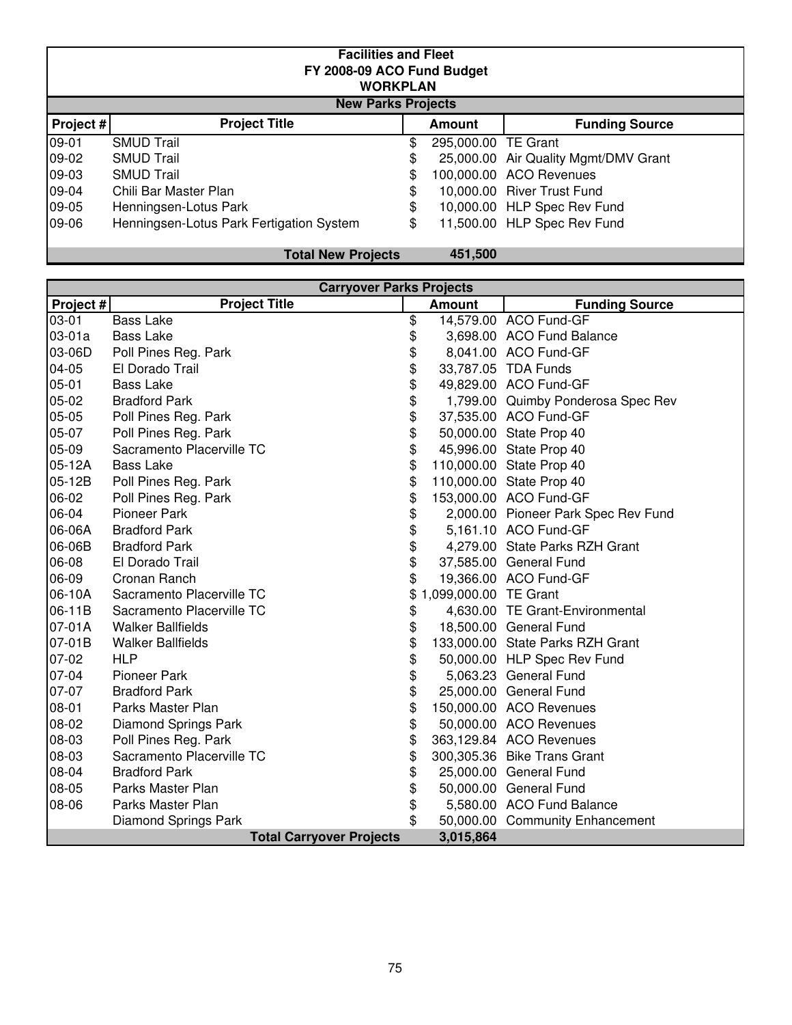|           | <b>Facilities and Fleet</b><br>FY 2008-09 ACO Fund Budget<br><b>WORKPLAN</b><br><b>New Parks Projects</b> |    |                     |                                      |  |  |  |  |  |  |
|-----------|-----------------------------------------------------------------------------------------------------------|----|---------------------|--------------------------------------|--|--|--|--|--|--|
| Project # | <b>Project Title</b>                                                                                      |    | <b>Amount</b>       | <b>Funding Source</b>                |  |  |  |  |  |  |
| 09-01     | <b>SMUD Trail</b>                                                                                         | \$ | 295,000.00 TE Grant |                                      |  |  |  |  |  |  |
| 09-02     | <b>SMUD Trail</b>                                                                                         | \$ |                     | 25,000.00 Air Quality Mgmt/DMV Grant |  |  |  |  |  |  |
| 09-03     | <b>SMUD Trail</b>                                                                                         | \$ |                     | 100,000.00 ACO Revenues              |  |  |  |  |  |  |
| 09-04     | Chili Bar Master Plan                                                                                     | \$ |                     | 10,000.00 River Trust Fund           |  |  |  |  |  |  |
| 09-05     | Henningsen-Lotus Park                                                                                     | \$ |                     | 10,000.00 HLP Spec Rev Fund          |  |  |  |  |  |  |
| 09-06     | Henningsen-Lotus Park Fertigation System                                                                  | \$ |                     | 11,500.00 HLP Spec Rev Fund          |  |  |  |  |  |  |

| <b>Total New Projects</b> |  |
|---------------------------|--|
|---------------------------|--|

| 451,500 |
|---------|
|---------|

| <b>Carryover Parks Projects</b>              |                             |    |                       |                                     |  |  |
|----------------------------------------------|-----------------------------|----|-----------------------|-------------------------------------|--|--|
| Project #                                    | <b>Project Title</b>        |    | <b>Amount</b>         | <b>Funding Source</b>               |  |  |
| 03-01                                        | <b>Bass Lake</b>            | \$ |                       | 14,579.00 ACO Fund-GF               |  |  |
| $03-01a$                                     | <b>Bass Lake</b>            | \$ |                       | 3,698.00 ACO Fund Balance           |  |  |
| 03-06D                                       | Poll Pines Reg. Park        | \$ |                       | 8,041.00 ACO Fund-GF                |  |  |
| 04-05                                        | El Dorado Trail             | \$ |                       | 33,787.05 TDA Funds                 |  |  |
| 05-01                                        | <b>Bass Lake</b>            | \$ |                       | 49,829.00 ACO Fund-GF               |  |  |
| 05-02                                        | <b>Bradford Park</b>        | \$ |                       | 1,799.00 Quimby Ponderosa Spec Rev  |  |  |
| 05-05                                        | Poll Pines Reg. Park        | \$ |                       | 37,535.00 ACO Fund-GF               |  |  |
| 05-07                                        | Poll Pines Reg. Park        | \$ |                       | 50,000.00 State Prop 40             |  |  |
| 05-09                                        | Sacramento Placerville TC   | \$ |                       | 45,996.00 State Prop 40             |  |  |
| 05-12A                                       | <b>Bass Lake</b>            | \$ |                       | 110,000.00 State Prop 40            |  |  |
| 05-12B                                       | Poll Pines Reg. Park        | \$ |                       | 110,000.00 State Prop 40            |  |  |
| 06-02                                        | Poll Pines Reg. Park        | \$ |                       | 153,000.00 ACO Fund-GF              |  |  |
| 06-04                                        | <b>Pioneer Park</b>         | \$ |                       | 2,000.00 Pioneer Park Spec Rev Fund |  |  |
| 06-06A                                       | <b>Bradford Park</b>        | \$ |                       | 5,161.10 ACO Fund-GF                |  |  |
| 06-06B                                       | <b>Bradford Park</b>        | \$ |                       | 4,279.00 State Parks RZH Grant      |  |  |
| 06-08                                        | El Dorado Trail             | \$ |                       | 37,585.00 General Fund              |  |  |
| 06-09                                        | Cronan Ranch                | \$ |                       | 19,366.00 ACO Fund-GF               |  |  |
| 06-10A                                       | Sacramento Placerville TC   |    | 1,099,000.00 TE Grant |                                     |  |  |
| 06-11B                                       | Sacramento Placerville TC   | \$ |                       | 4,630.00 TE Grant-Environmental     |  |  |
| 07-01A                                       | <b>Walker Ballfields</b>    | \$ |                       | 18,500.00 General Fund              |  |  |
| 07-01B                                       | <b>Walker Ballfields</b>    | \$ |                       | 133,000.00 State Parks RZH Grant    |  |  |
| 07-02                                        | <b>HLP</b>                  | \$ |                       | 50,000.00 HLP Spec Rev Fund         |  |  |
| 07-04                                        | <b>Pioneer Park</b>         | \$ |                       | 5,063.23 General Fund               |  |  |
| 07-07                                        | <b>Bradford Park</b>        | \$ |                       | 25,000.00 General Fund              |  |  |
| 08-01                                        | Parks Master Plan           | \$ |                       | 150,000.00 ACO Revenues             |  |  |
| 08-02                                        | <b>Diamond Springs Park</b> | \$ |                       | 50,000.00 ACO Revenues              |  |  |
| 08-03                                        | Poll Pines Reg. Park        | \$ |                       | 363,129.84 ACO Revenues             |  |  |
| 08-03                                        | Sacramento Placerville TC   | \$ |                       | 300,305.36 Bike Trans Grant         |  |  |
| 08-04                                        | <b>Bradford Park</b>        | \$ |                       | 25,000.00 General Fund              |  |  |
| 08-05                                        | Parks Master Plan           | \$ |                       | 50,000.00 General Fund              |  |  |
| 08-06                                        | Parks Master Plan           | \$ |                       | 5,580.00 ACO Fund Balance           |  |  |
|                                              | <b>Diamond Springs Park</b> | \$ |                       | 50,000.00 Community Enhancement     |  |  |
| <b>Total Carryover Projects</b><br>3,015,864 |                             |    |                       |                                     |  |  |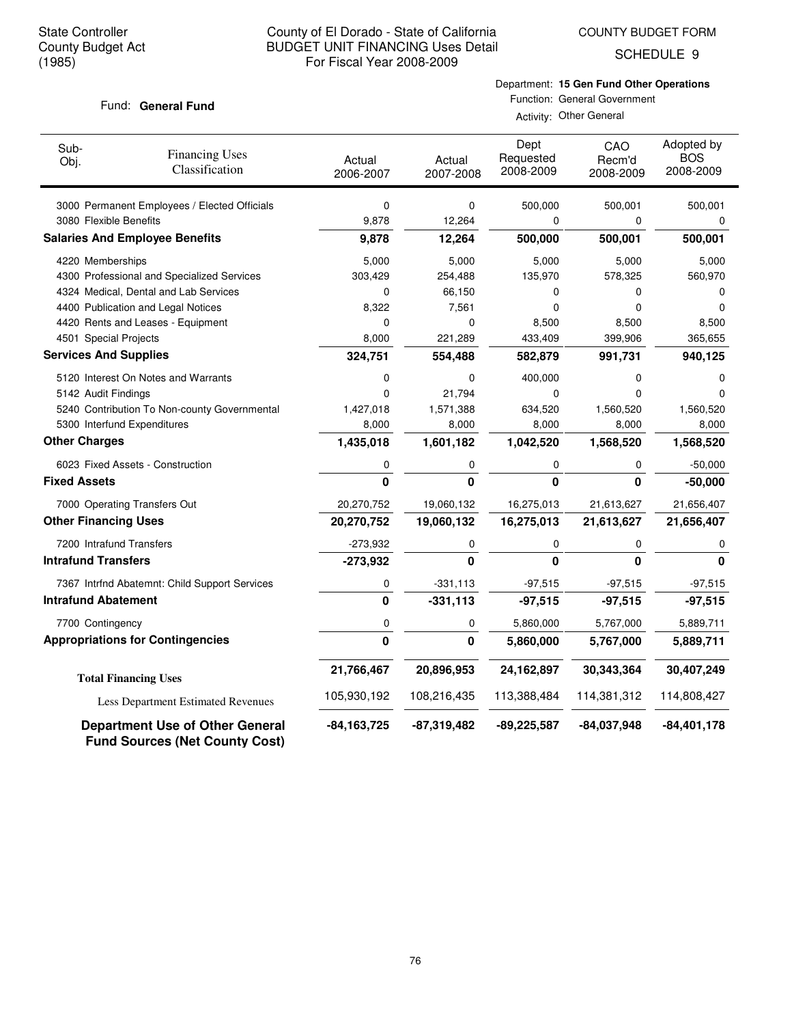COUNTY BUDGET FORM

SCHEDULE 9

## Fund: General Fund

Department: **15 Gen Fund Other Operations** Function: General Government

| Sub-<br>Obj.        | <b>Financing Uses</b><br>Classification                                         | Actual<br>2006-2007 | Actual<br>2007-2008 | Dept<br>Requested<br>2008-2009 | CAO<br>Recm'd<br>2008-2009 | Adopted by<br><b>BOS</b><br>2008-2009 |
|---------------------|---------------------------------------------------------------------------------|---------------------|---------------------|--------------------------------|----------------------------|---------------------------------------|
|                     | 3000 Permanent Employees / Elected Officials                                    | $\mathbf 0$         | 0                   | 500,000                        | 500,001                    | 500,001                               |
|                     | 3080 Flexible Benefits                                                          | 9,878               | 12,264              | 0                              | 0                          | 0                                     |
|                     | <b>Salaries And Employee Benefits</b>                                           | 9,878               | 12,264              | 500,000                        | 500,001                    | 500,001                               |
|                     | 4220 Memberships                                                                | 5,000               | 5,000               | 5,000                          | 5,000                      | 5,000                                 |
|                     | 4300 Professional and Specialized Services                                      | 303,429             | 254,488             | 135,970                        | 578,325                    | 560,970                               |
|                     | 4324 Medical, Dental and Lab Services                                           | 0                   | 66,150              | 0                              | 0                          | 0                                     |
|                     | 4400 Publication and Legal Notices                                              | 8,322               | 7,561               | 0                              | 0                          | $\Omega$                              |
|                     | 4420 Rents and Leases - Equipment                                               | 0                   | 0                   | 8,500                          | 8,500                      | 8,500                                 |
|                     | 4501 Special Projects                                                           | 8,000               | 221,289             | 433,409                        | 399,906                    | 365,655                               |
|                     | <b>Services And Supplies</b>                                                    | 324,751             | 554,488             | 582,879                        | 991,731                    | 940,125                               |
|                     | 5120 Interest On Notes and Warrants                                             | 0                   | 0                   | 400,000                        | 0                          | 0                                     |
|                     | 5142 Audit Findings                                                             | $\mathbf 0$         | 21,794              | 0                              | 0                          | $\Omega$                              |
|                     | 5240 Contribution To Non-county Governmental                                    | 1,427,018           | 1,571,388           | 634,520                        | 1,560,520                  | 1,560,520                             |
|                     | 5300 Interfund Expenditures                                                     | 8,000               | 8,000               | 8,000                          | 8,000                      | 8,000                                 |
|                     | <b>Other Charges</b>                                                            | 1,435,018           | 1,601,182           | 1,042,520                      | 1,568,520                  | 1,568,520                             |
|                     | 6023 Fixed Assets - Construction                                                | 0                   | 0                   | 0                              | $\mathbf 0$                | $-50,000$                             |
| <b>Fixed Assets</b> |                                                                                 | 0                   | $\mathbf{0}$        | $\mathbf{0}$                   | $\mathbf{0}$               | $-50,000$                             |
|                     | 7000 Operating Transfers Out                                                    | 20,270,752          | 19,060,132          | 16,275,013                     | 21,613,627                 | 21,656,407                            |
|                     | <b>Other Financing Uses</b>                                                     | 20,270,752          | 19,060,132          | 16,275,013                     | 21,613,627                 | 21,656,407                            |
|                     | 7200 Intrafund Transfers                                                        | $-273,932$          | 0                   | 0                              | 0                          | 0                                     |
|                     | <b>Intrafund Transfers</b>                                                      | $-273,932$          | 0                   | $\mathbf{0}$                   | $\mathbf{0}$               | $\Omega$                              |
|                     | 7367 Intrfnd Abatemnt: Child Support Services                                   | 0                   | $-331,113$          | $-97,515$                      | $-97,515$                  | $-97,515$                             |
|                     | <b>Intrafund Abatement</b>                                                      | 0                   | $-331,113$          | $-97,515$                      | $-97,515$                  | $-97,515$                             |
|                     | 7700 Contingency                                                                | 0                   | 0                   | 5,860,000                      | 5,767,000                  | 5,889,711                             |
|                     | <b>Appropriations for Contingencies</b>                                         | 0                   | 0                   | 5,860,000                      | 5,767,000                  | 5,889,711                             |
|                     | <b>Total Financing Uses</b>                                                     | 21,766,467          | 20,896,953          | 24,162,897                     | 30,343,364                 | 30,407,249                            |
|                     | Less Department Estimated Revenues                                              | 105,930,192         | 108,216,435         | 113,388,484                    | 114,381,312                | 114,808,427                           |
|                     | <b>Department Use of Other General</b><br><b>Fund Sources (Net County Cost)</b> | -84,163,725         | -87,319,482         | $-89,225,587$                  | $-84,037,948$              | $-84,401,178$                         |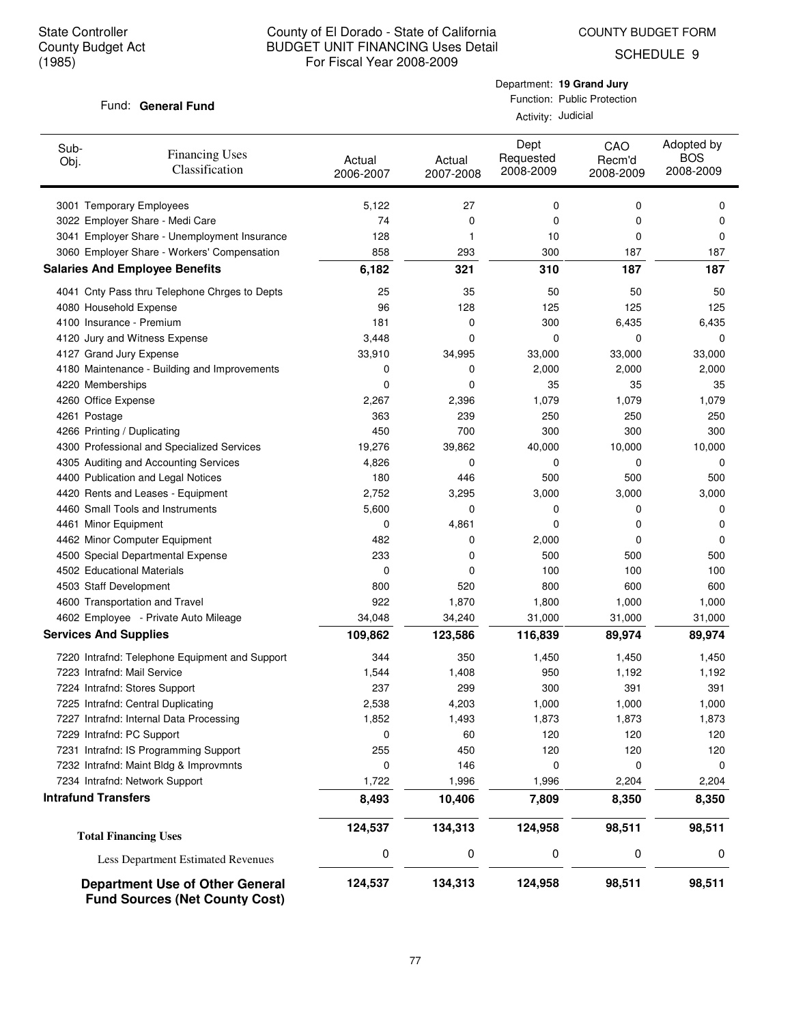COUNTY BUDGET FORM

SCHEDULE 9

### Fund: General Fund

Department: **19 Grand Jury** Function: Public Protection

Activity: Judicial

| Sub-<br>Obj. | <b>Financing Uses</b><br>Classification        | Actual<br>2006-2007 | Actual<br>2007-2008 | Dept<br>Requested<br>2008-2009 | CAO<br>Recm'd<br>2008-2009 | Adopted by<br><b>BOS</b><br>2008-2009 |
|--------------|------------------------------------------------|---------------------|---------------------|--------------------------------|----------------------------|---------------------------------------|
|              | 3001 Temporary Employees                       | 5,122               | 27                  | 0                              | 0                          | 0                                     |
|              | 3022 Employer Share - Medi Care                | 74                  | 0                   | 0                              | 0                          | 0                                     |
|              | 3041 Employer Share - Unemployment Insurance   | 128                 | 1                   | 10                             | 0                          | 0                                     |
|              | 3060 Employer Share - Workers' Compensation    | 858                 | 293                 | 300                            | 187                        | 187                                   |
|              | <b>Salaries And Employee Benefits</b>          | 6,182               | 321                 | 310                            | 187                        | 187                                   |
|              | 4041 Cnty Pass thru Telephone Chrges to Depts  | 25                  | 35                  | 50                             | 50                         | 50                                    |
|              | 4080 Household Expense                         | 96                  | 128                 | 125                            | 125                        | 125                                   |
|              | 4100 Insurance - Premium                       | 181                 | 0                   | 300                            | 6,435                      | 6,435                                 |
|              | 4120 Jury and Witness Expense                  | 3,448               | 0                   | 0                              | 0                          | 0                                     |
|              | 4127 Grand Jury Expense                        | 33,910              | 34,995              | 33,000                         | 33,000                     | 33,000                                |
|              | 4180 Maintenance - Building and Improvements   | 0                   | 0                   | 2,000                          | 2,000                      | 2,000                                 |
|              | 4220 Memberships                               | 0                   | 0                   | 35                             | 35                         | 35                                    |
|              | 4260 Office Expense                            | 2,267               | 2,396               | 1,079                          | 1,079                      | 1,079                                 |
|              | 4261 Postage                                   | 363                 | 239                 | 250                            | 250                        | 250                                   |
|              | 4266 Printing / Duplicating                    | 450                 | 700                 | 300                            | 300                        | 300                                   |
|              | 4300 Professional and Specialized Services     | 19,276              | 39,862              | 40,000                         | 10,000                     | 10,000                                |
|              | 4305 Auditing and Accounting Services          | 4,826               | 0                   | 0                              | 0                          | 0                                     |
|              | 4400 Publication and Legal Notices             | 180                 | 446                 | 500                            | 500                        | 500                                   |
|              | 4420 Rents and Leases - Equipment              | 2,752               | 3,295               | 3,000                          | 3,000                      | 3,000                                 |
|              | 4460 Small Tools and Instruments               | 5,600               | 0                   | 0                              | 0                          | 0                                     |
|              | 4461 Minor Equipment                           | 0                   | 4,861               | 0                              | 0                          | 0                                     |
|              | 4462 Minor Computer Equipment                  | 482                 | 0                   | 2,000                          | 0                          | 0                                     |
|              | 4500 Special Departmental Expense              | 233                 | 0                   | 500                            | 500                        | 500                                   |
|              | 4502 Educational Materials                     | 0                   | 0                   | 100                            | 100                        | 100                                   |
|              | 4503 Staff Development                         | 800                 | 520                 | 800                            | 600                        | 600                                   |
|              | 4600 Transportation and Travel                 | 922                 | 1,870               | 1,800                          | 1,000                      | 1,000                                 |
|              | 4602 Employee - Private Auto Mileage           | 34,048              | 34,240              | 31,000                         | 31,000                     | 31,000                                |
|              | <b>Services And Supplies</b>                   | 109,862             | 123,586             | 116,839                        | 89,974                     | 89,974                                |
|              | 7220 Intrafnd: Telephone Equipment and Support | 344                 | 350                 | 1,450                          | 1,450                      | 1,450                                 |
|              | 7223 Intrafnd: Mail Service                    | 1,544               | 1,408               | 950                            | 1,192                      | 1,192                                 |
|              | 7224 Intrafnd: Stores Support                  | 237                 | 299                 | 300                            | 391                        | 391                                   |
|              | 7225 Intrafnd: Central Duplicating             | 2,538               | 4,203               | 1,000                          | 1,000                      | 1,000                                 |
|              | 7227 Intrafnd: Internal Data Processing        | 1,852               | 1,493               | 1,873                          | 1,873                      | 1,873                                 |
|              | 7229 Intrafnd: PC Support                      | 0                   | 60                  | 120                            | 120                        | 120                                   |
|              | 7231 Intrafnd: IS Programming Support          | 255                 | 450                 | 120                            | 120                        | 120                                   |
|              | 7232 Intrafnd: Maint Bldg & Improvmnts         | 0                   | 146                 | 0                              | 0                          | 0                                     |
|              | 7234 Intrafnd: Network Support                 | 1,722               | 1,996               | 1,996                          | 2,204                      | 2,204                                 |
|              | <b>Intrafund Transfers</b>                     | 8,493               | 10,406              | 7,809                          | 8,350                      | 8,350                                 |
|              | <b>Total Financing Uses</b>                    | 124,537             | 134,313             | 124,958                        | 98,511                     | 98,511                                |
|              | Less Department Estimated Revenues             | 0                   | 0                   | 0                              | 0                          | 0                                     |
|              | <b>Department Use of Other General</b>         | 124,537             | 134,313             | 124,958                        | 98,511                     | 98,511                                |

**Fund Sources (Net County Cost)**